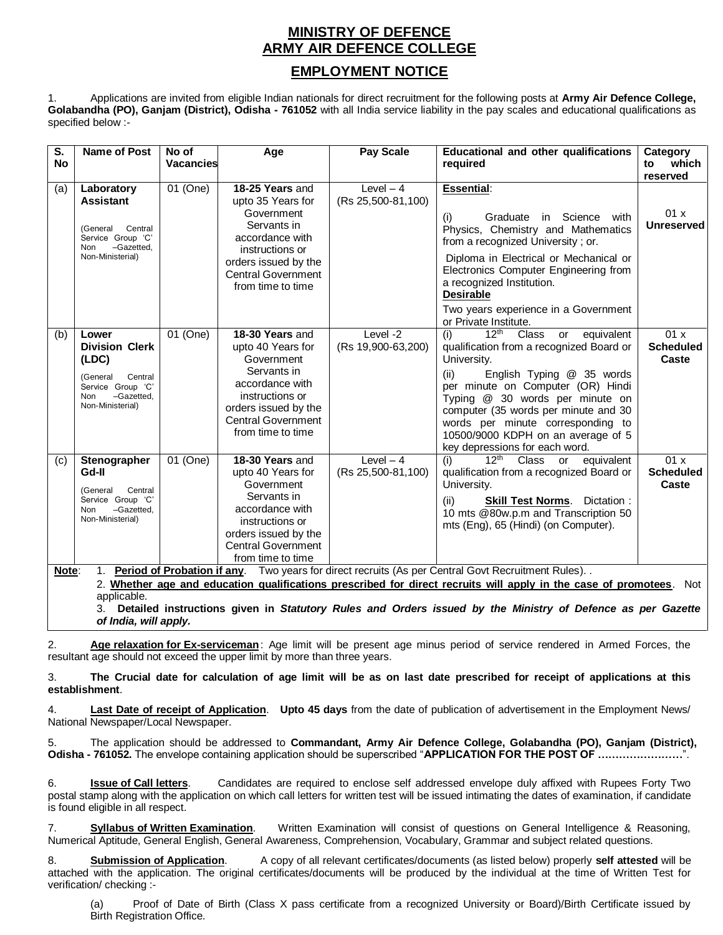## **MINISTRY OF DEFENCE ARMY AIR DEFENCE COLLEGE**

## **EMPLOYMENT NOTICE**

1. Applications are invited from eligible Indian nationals for direct recruitment for the following posts at **Army Air Defence College, Golabandha (PO), Ganjam (District), Odisha - 761052** with all India service liability in the pay scales and educational qualifications as specified below :-

| $\overline{\mathsf{s}}$ .<br><b>No</b>                                                                           | <b>Name of Post</b>                                                                                                                 | No of<br>Vacancies | Age                                                                                                                                                                               | <b>Pay Scale</b>                 | <b>Educational and other qualifications</b>                                                                                                                                                                                                                                                                                                                                              | Category<br>which                |
|------------------------------------------------------------------------------------------------------------------|-------------------------------------------------------------------------------------------------------------------------------------|--------------------|-----------------------------------------------------------------------------------------------------------------------------------------------------------------------------------|----------------------------------|------------------------------------------------------------------------------------------------------------------------------------------------------------------------------------------------------------------------------------------------------------------------------------------------------------------------------------------------------------------------------------------|----------------------------------|
|                                                                                                                  |                                                                                                                                     |                    |                                                                                                                                                                                   |                                  | required                                                                                                                                                                                                                                                                                                                                                                                 | to<br>reserved                   |
| (a)                                                                                                              | Laboratory<br><b>Assistant</b><br>Central<br>(General<br>Service Group 'C'<br>-Gazetted.<br><b>Non</b><br>Non-Ministerial)          | 01 (One)           | 18-25 Years and<br>upto 35 Years for<br>Government<br>Servants in<br>accordance with<br>instructions or<br>orders issued by the<br><b>Central Government</b><br>from time to time | Level $-4$<br>(Rs 25,500-81,100) | <b>Essential:</b><br>(i)<br>Graduate<br>Science with<br>in l<br>Physics, Chemistry and Mathematics<br>from a recognized University; or.<br>Diploma in Electrical or Mechanical or<br>Electronics Computer Engineering from<br>a recognized Institution.<br><b>Desirable</b><br>Two years experience in a Government<br>or Private Institute.                                             | 01x<br><b>Unreserved</b>         |
| (b)                                                                                                              | Lower<br><b>Division Clerk</b><br>(LDC)<br>Central<br>(General<br>Service Group 'C'<br>-Gazetted.<br><b>Non</b><br>Non-Ministerial) | 01 (One)           | 18-30 Years and<br>upto 40 Years for<br>Government<br>Servants in<br>accordance with<br>instructions or<br>orders issued by the<br><b>Central Government</b><br>from time to time | Level -2<br>(Rs 19,900-63,200)   | 12 <sup>th</sup><br>(i)<br><b>Class</b><br>equivalent<br>or<br>qualification from a recognized Board or<br>University.<br>English Typing @ 35 words<br>(ii)<br>per minute on Computer (OR) Hindi<br>Typing @ 30 words per minute on<br>computer (35 words per minute and 30<br>words per minute corresponding to<br>10500/9000 KDPH on an average of 5<br>key depressions for each word. | 01x<br><b>Scheduled</b><br>Caste |
| (c)                                                                                                              | Stenographer<br>Gd-II<br>Central<br>(General<br>Service Group 'C'<br>-Gazetted,<br>Non<br>Non-Ministerial)                          | 01 (One)           | 18-30 Years and<br>upto 40 Years for<br>Government<br>Servants in<br>accordance with<br>instructions or<br>orders issued by the<br><b>Central Government</b><br>from time to time | Level $-4$<br>(Rs 25,500-81,100) | $12^{\text{th}}$<br>Class<br>equivalent<br>(i)<br>or<br>qualification from a recognized Board or<br>University.<br><b>Skill Test Norms.</b><br>Dictation:<br>(ii)<br>10 mts @80w.p.m and Transcription 50<br>mts (Eng), 65 (Hindi) (on Computer).                                                                                                                                        | 01x<br><b>Scheduled</b><br>Caste |
| Two years for direct recruits (As per Central Govt Recruitment Rules)<br>1. Period of Probation if any.<br>Note: |                                                                                                                                     |                    |                                                                                                                                                                                   |                                  |                                                                                                                                                                                                                                                                                                                                                                                          |                                  |

2. **Whether age and education qualifications prescribed for direct recruits will apply in the case of promotees**. Not applicable.

3. **Detailed instructions given in** *Statutory Rules and Orders issued by the Ministry of Defence as per Gazette of India, will apply.*

2. **Age relaxation for Ex-serviceman**: Age limit will be present age minus period of service rendered in Armed Forces, the resultant age should not exceed the upper limit by more than three years.

3. **The Crucial date for calculation of age limit will be as on last date prescribed for receipt of applications at this establishment**.

4. **Last Date of receipt of Application**. **Upto 45 days** from the date of publication of advertisement in the Employment News/ National Newspaper/Local Newspaper.

5. The application should be addressed to **Commandant, Army Air Defence College, Golabandha (PO), Ganjam (District), Odisha - 761052.** The envelope containing application should be superscribed "**APPLICATION FOR THE POST OF ……………………**".

6. **Issue of Call letters**. Candidates are required to enclose self addressed envelope duly affixed with Rupees Forty Two postal stamp along with the application on which call letters for written test will be issued intimating the dates of examination, if candidate is found eligible in all respect.

7. **Syllabus of Written Examination**. Written Examination will consist of questions on General Intelligence & Reasoning, Numerical Aptitude, General English, General Awareness, Comprehension, Vocabulary, Grammar and subject related questions.

8. **Submission of Application**. A copy of all relevant certificates/documents (as listed below) properly **self attested** will be attached with the application. The original certificates/documents will be produced by the individual at the time of Written Test for verification/ checking :-

(a) Proof of Date of Birth (Class X pass certificate from a recognized University or Board)/Birth Certificate issued by Birth Registration Office.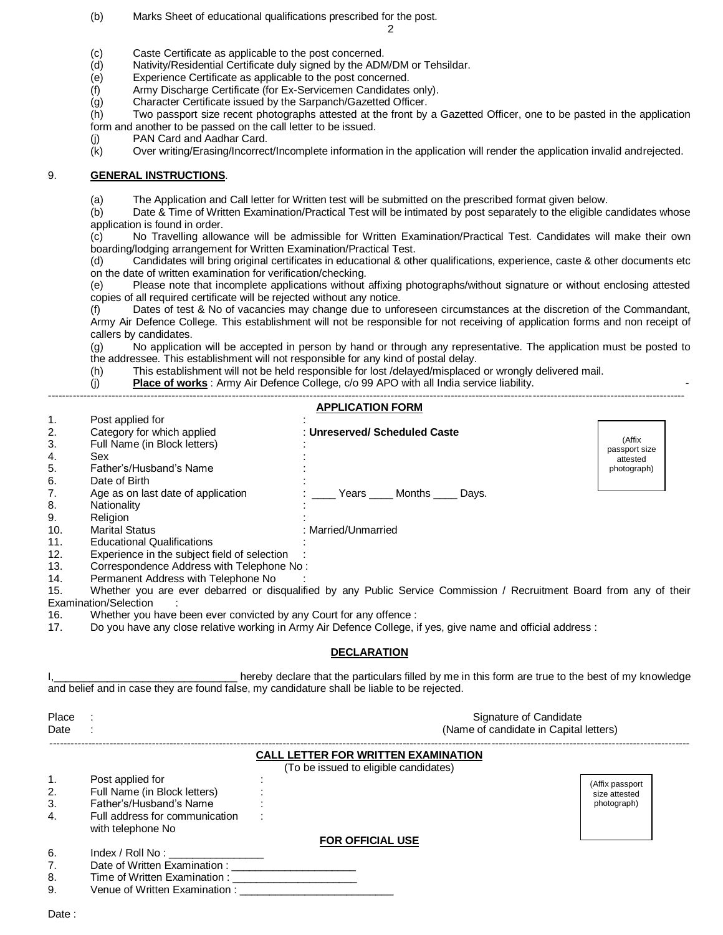(b) Marks Sheet of educational qualifications prescribed for the post.

2

- (c) Caste Certificate as applicable to the post concerned.
- (d) Nativity/Residential Certificate duly signed by the ADM/DM or Tehsildar.
- (e) Experience Certificate as applicable to the post concerned.
- (f) Army Discharge Certificate (for Ex-Servicemen Candidates only).
- (g) Character Certificate issued by the Sarpanch/Gazetted Officer.

(h) Two passport size recent photographs attested at the front by a Gazetted Officer, one to be pasted in the application form and another to be passed on the call letter to be issued.

- (j) PAN Card and Aadhar Card.
- (k) Over writing/Erasing/Incorrect/Incomplete information in the application will render the application invalid andrejected.

## 9. **GENERAL INSTRUCTIONS**.

(a) The Application and Call letter for Written test will be submitted on the prescribed format given below.

(b) Date & Time of Written Examination/Practical Test will be intimated by post separately to the eligible candidates whose application is found in order.

(c) No Travelling allowance will be admissible for Written Examination/Practical Test. Candidates will make their own boarding/lodging arrangement for Written Examination/Practical Test.

(d) Candidates will bring original certificates in educational & other qualifications, experience, caste & other documents etc on the date of written examination for verification/checking.

(e) Please note that incomplete applications without affixing photographs/without signature or without enclosing attested copies of all required certificate will be rejected without any notice.

(f) Dates of test & No of vacancies may change due to unforeseen circumstances at the discretion of the Commandant, Army Air Defence College. This establishment will not be responsible for not receiving of application forms and non receipt of callers by candidates.

(g) No application will be accepted in person by hand or through any representative. The application must be posted to the addressee. This establishment will not responsible for any kind of postal delay.

(h) This establishment will not be held responsible for lost /delayed/misplaced or wrongly delivered mail.

(j) **Place of works**: Army Air Defence College, c/o 99 APO with all India service liability.

| 1.<br>Post applied for<br>Category for which applied<br>2.<br>: Unreserved/ Scheduled Caste<br>(Affix<br>3.<br>Full Name (in Block letters)<br>passport size<br>Sex<br>4.<br>attested<br>5.<br>Father's/Husband's Name<br>photograph)<br>6.<br>Date of Birth<br>7.<br>Age as on last date of application<br>Years Months<br>Days.<br>8.<br>Nationality<br>9.<br>Religion<br>10.<br><b>Marital Status</b><br>: Married/Unmarried<br><b>Educational Qualifications</b><br>11.<br>12.<br>Experience in the subject field of selection<br>13.<br>Correspondence Address with Telephone No:<br>Permanent Address with Telephone No<br>14.<br>Whether you are ever debarred or disqualified by any Public Service Commission / Recruitment Board from any of their<br>15.<br>Examination/Selection<br>16.<br>Whether you have been ever convicted by any Court for any offence :<br>Do you have any close relative working in Army Air Defence College, if yes, give name and official address :<br>17. |  |  | <b>APPLICATION FORM</b> |  |  |  |  |  |
|---------------------------------------------------------------------------------------------------------------------------------------------------------------------------------------------------------------------------------------------------------------------------------------------------------------------------------------------------------------------------------------------------------------------------------------------------------------------------------------------------------------------------------------------------------------------------------------------------------------------------------------------------------------------------------------------------------------------------------------------------------------------------------------------------------------------------------------------------------------------------------------------------------------------------------------------------------------------------------------------------|--|--|-------------------------|--|--|--|--|--|
|                                                                                                                                                                                                                                                                                                                                                                                                                                                                                                                                                                                                                                                                                                                                                                                                                                                                                                                                                                                                   |  |  |                         |  |  |  |  |  |
|                                                                                                                                                                                                                                                                                                                                                                                                                                                                                                                                                                                                                                                                                                                                                                                                                                                                                                                                                                                                   |  |  |                         |  |  |  |  |  |
|                                                                                                                                                                                                                                                                                                                                                                                                                                                                                                                                                                                                                                                                                                                                                                                                                                                                                                                                                                                                   |  |  |                         |  |  |  |  |  |
|                                                                                                                                                                                                                                                                                                                                                                                                                                                                                                                                                                                                                                                                                                                                                                                                                                                                                                                                                                                                   |  |  |                         |  |  |  |  |  |
|                                                                                                                                                                                                                                                                                                                                                                                                                                                                                                                                                                                                                                                                                                                                                                                                                                                                                                                                                                                                   |  |  |                         |  |  |  |  |  |
|                                                                                                                                                                                                                                                                                                                                                                                                                                                                                                                                                                                                                                                                                                                                                                                                                                                                                                                                                                                                   |  |  |                         |  |  |  |  |  |
|                                                                                                                                                                                                                                                                                                                                                                                                                                                                                                                                                                                                                                                                                                                                                                                                                                                                                                                                                                                                   |  |  |                         |  |  |  |  |  |
|                                                                                                                                                                                                                                                                                                                                                                                                                                                                                                                                                                                                                                                                                                                                                                                                                                                                                                                                                                                                   |  |  |                         |  |  |  |  |  |
|                                                                                                                                                                                                                                                                                                                                                                                                                                                                                                                                                                                                                                                                                                                                                                                                                                                                                                                                                                                                   |  |  |                         |  |  |  |  |  |
|                                                                                                                                                                                                                                                                                                                                                                                                                                                                                                                                                                                                                                                                                                                                                                                                                                                                                                                                                                                                   |  |  |                         |  |  |  |  |  |
|                                                                                                                                                                                                                                                                                                                                                                                                                                                                                                                                                                                                                                                                                                                                                                                                                                                                                                                                                                                                   |  |  |                         |  |  |  |  |  |
|                                                                                                                                                                                                                                                                                                                                                                                                                                                                                                                                                                                                                                                                                                                                                                                                                                                                                                                                                                                                   |  |  |                         |  |  |  |  |  |
|                                                                                                                                                                                                                                                                                                                                                                                                                                                                                                                                                                                                                                                                                                                                                                                                                                                                                                                                                                                                   |  |  |                         |  |  |  |  |  |
|                                                                                                                                                                                                                                                                                                                                                                                                                                                                                                                                                                                                                                                                                                                                                                                                                                                                                                                                                                                                   |  |  |                         |  |  |  |  |  |
|                                                                                                                                                                                                                                                                                                                                                                                                                                                                                                                                                                                                                                                                                                                                                                                                                                                                                                                                                                                                   |  |  |                         |  |  |  |  |  |
|                                                                                                                                                                                                                                                                                                                                                                                                                                                                                                                                                                                                                                                                                                                                                                                                                                                                                                                                                                                                   |  |  |                         |  |  |  |  |  |
|                                                                                                                                                                                                                                                                                                                                                                                                                                                                                                                                                                                                                                                                                                                                                                                                                                                                                                                                                                                                   |  |  |                         |  |  |  |  |  |
|                                                                                                                                                                                                                                                                                                                                                                                                                                                                                                                                                                                                                                                                                                                                                                                                                                                                                                                                                                                                   |  |  |                         |  |  |  |  |  |
|                                                                                                                                                                                                                                                                                                                                                                                                                                                                                                                                                                                                                                                                                                                                                                                                                                                                                                                                                                                                   |  |  |                         |  |  |  |  |  |

hereby declare that the particulars filled by me in this form are true to the best of my knowledge and belief and in case they are found false, my candidature shall be liable to be rejected.

| Place<br>Date |                                                                                                                                                                                                                                | Signature of Candidate<br>(Name of candidate in Capital letters)                    |                              |  |
|---------------|--------------------------------------------------------------------------------------------------------------------------------------------------------------------------------------------------------------------------------|-------------------------------------------------------------------------------------|------------------------------|--|
|               |                                                                                                                                                                                                                                | <b>CALL LETTER FOR WRITTEN EXAMINATION</b><br>(To be issued to eligible candidates) |                              |  |
|               | Post applied for                                                                                                                                                                                                               |                                                                                     |                              |  |
| 2.            | Full Name (in Block letters)                                                                                                                                                                                                   |                                                                                     | (Affix passport              |  |
| 3.            | Father's/Husband's Name                                                                                                                                                                                                        |                                                                                     | size attested<br>photograph) |  |
| 4.            | Full address for communication<br>with telephone No                                                                                                                                                                            |                                                                                     |                              |  |
|               |                                                                                                                                                                                                                                | <b>FOR OFFICIAL USE</b>                                                             |                              |  |
| 6.            | Index / Roll No : the control of the control of the control of the control of the control of the control of the control of the control of the control of the control of the control of the control of the control of the contr |                                                                                     |                              |  |
| 7.            | Date of Written Examination :                                                                                                                                                                                                  |                                                                                     |                              |  |
| 8.            | Time of Written Examination :                                                                                                                                                                                                  |                                                                                     |                              |  |
| 9.            | Venue of Written Examination:                                                                                                                                                                                                  |                                                                                     |                              |  |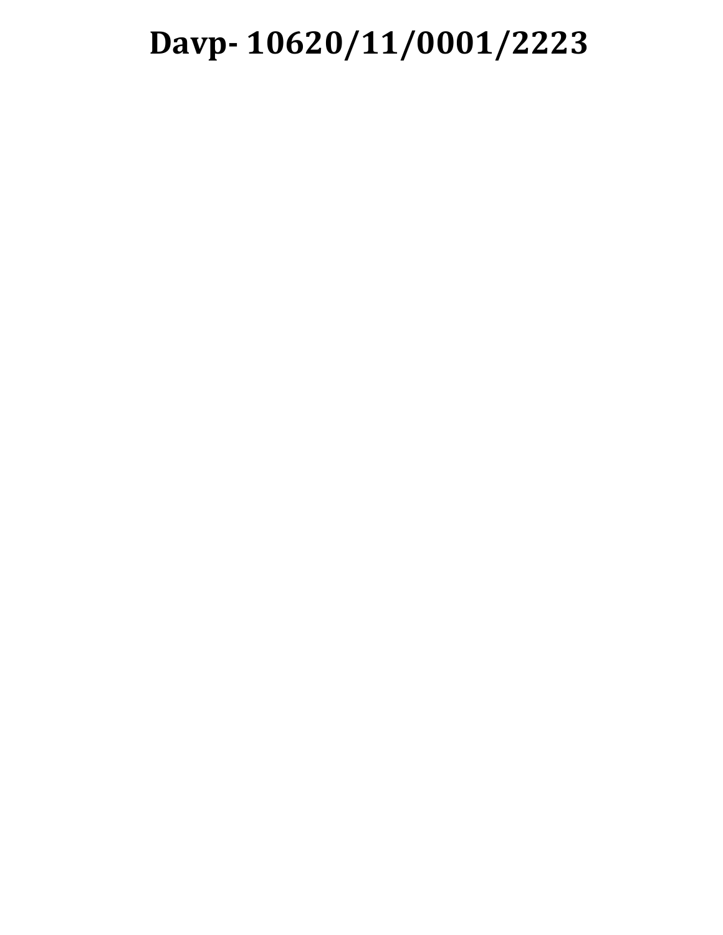## **Davp- 10620/11/0001/2223**